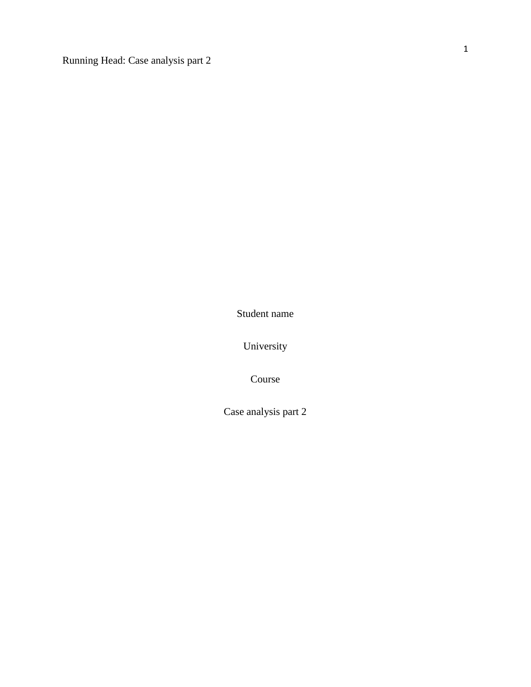Running Head: Case analysis part 2

Student name

University

Course

Case analysis part 2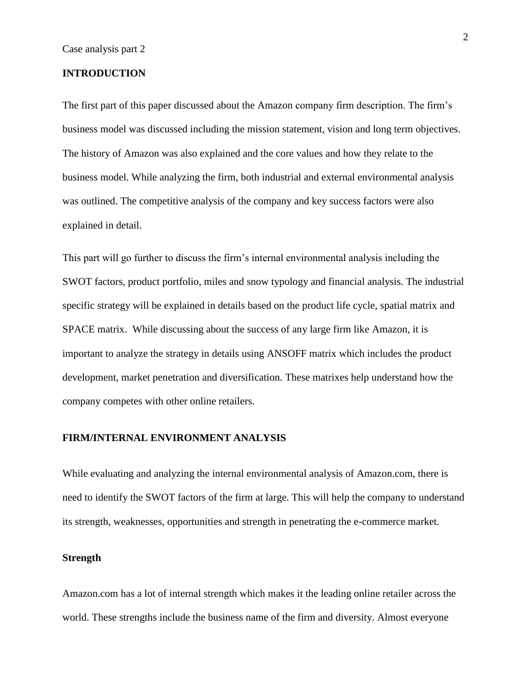## **INTRODUCTION**

The first part of this paper discussed about the Amazon company firm description. The firm's business model was discussed including the mission statement, vision and long term objectives. The history of Amazon was also explained and the core values and how they relate to the business model. While analyzing the firm, both industrial and external environmental analysis was outlined. The competitive analysis of the company and key success factors were also explained in detail.

This part will go further to discuss the firm's internal environmental analysis including the SWOT factors, product portfolio, miles and snow typology and financial analysis. The industrial specific strategy will be explained in details based on the product life cycle, spatial matrix and SPACE matrix. While discussing about the success of any large firm like Amazon, it is important to analyze the strategy in details using ANSOFF matrix which includes the product development, market penetration and diversification. These matrixes help understand how the company competes with other online retailers.

#### **FIRM/INTERNAL ENVIRONMENT ANALYSIS**

While evaluating and analyzing the internal environmental analysis of Amazon.com, there is need to identify the SWOT factors of the firm at large. This will help the company to understand its strength, weaknesses, opportunities and strength in penetrating the e-commerce market.

## **Strength**

Amazon.com has a lot of internal strength which makes it the leading online retailer across the world. These strengths include the business name of the firm and diversity. Almost everyone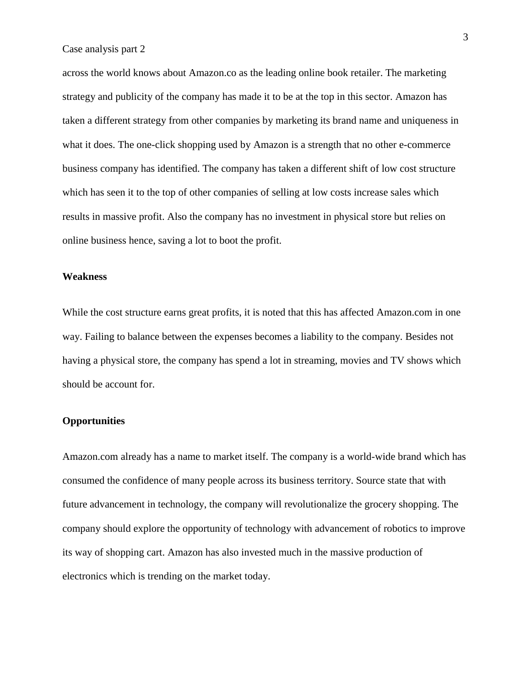across the world knows about Amazon.co as the leading online book retailer. The marketing strategy and publicity of the company has made it to be at the top in this sector. Amazon has taken a different strategy from other companies by marketing its brand name and uniqueness in what it does. The one-click shopping used by Amazon is a strength that no other e-commerce business company has identified. The company has taken a different shift of low cost structure which has seen it to the top of other companies of selling at low costs increase sales which results in massive profit. Also the company has no investment in physical store but relies on online business hence, saving a lot to boot the profit.

#### **Weakness**

While the cost structure earns great profits, it is noted that this has affected Amazon.com in one way. Failing to balance between the expenses becomes a liability to the company. Besides not having a physical store, the company has spend a lot in streaming, movies and TV shows which should be account for.

# **Opportunities**

Amazon.com already has a name to market itself. The company is a world-wide brand which has consumed the confidence of many people across its business territory. Source state that with future advancement in technology, the company will revolutionalize the grocery shopping. The company should explore the opportunity of technology with advancement of robotics to improve its way of shopping cart. Amazon has also invested much in the massive production of electronics which is trending on the market today.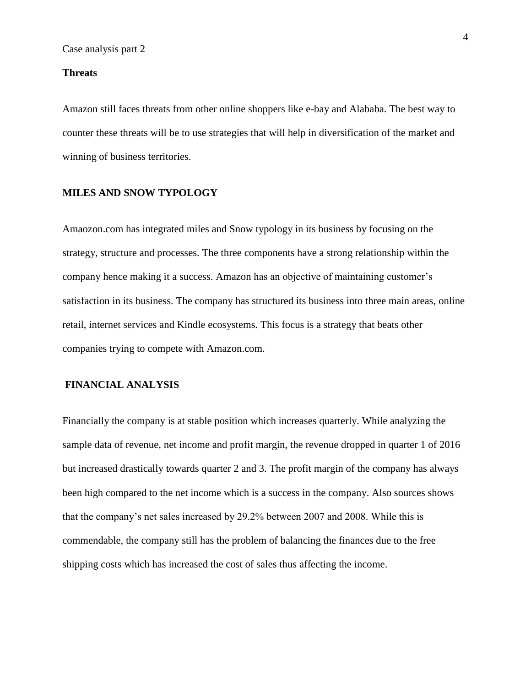#### **Threats**

Amazon still faces threats from other online shoppers like e-bay and Alababa. The best way to counter these threats will be to use strategies that will help in diversification of the market and winning of business territories.

#### **MILES AND SNOW TYPOLOGY**

Amaozon.com has integrated miles and Snow typology in its business by focusing on the strategy, structure and processes. The three components have a strong relationship within the company hence making it a success. Amazon has an objective of maintaining customer's satisfaction in its business. The company has structured its business into three main areas, online retail, internet services and Kindle ecosystems. This focus is a strategy that beats other companies trying to compete with Amazon.com.

### **FINANCIAL ANALYSIS**

Financially the company is at stable position which increases quarterly. While analyzing the sample data of revenue, net income and profit margin, the revenue dropped in quarter 1 of 2016 but increased drastically towards quarter 2 and 3. The profit margin of the company has always been high compared to the net income which is a success in the company. Also sources shows that the company's net sales increased by 29.2% between 2007 and 2008. While this is commendable, the company still has the problem of balancing the finances due to the free shipping costs which has increased the cost of sales thus affecting the income.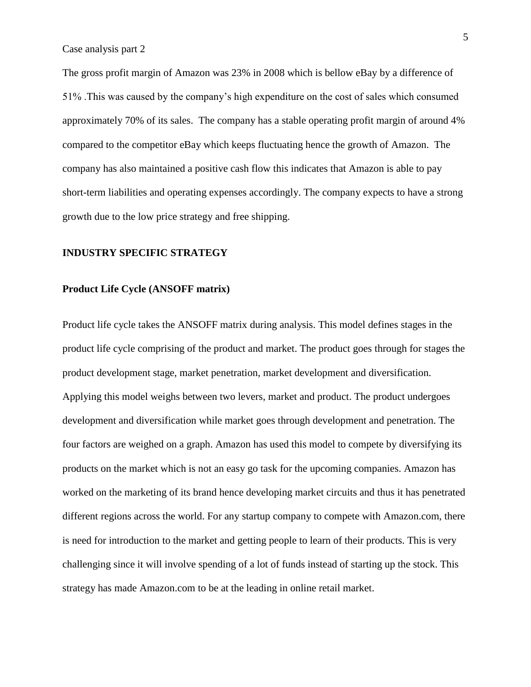Case analysis part 2

The gross profit margin of Amazon was 23% in 2008 which is bellow eBay by a difference of 51% .This was caused by the company's high expenditure on the cost of sales which consumed approximately 70% of its sales. The company has a stable operating profit margin of around 4% compared to the competitor eBay which keeps fluctuating hence the growth of Amazon. The company has also maintained a positive cash flow this indicates that Amazon is able to pay short-term liabilities and operating expenses accordingly. The company expects to have a strong growth due to the low price strategy and free shipping.

## **INDUSTRY SPECIFIC STRATEGY**

#### **Product Life Cycle (ANSOFF matrix)**

Product life cycle takes the ANSOFF matrix during analysis. This model defines stages in the product life cycle comprising of the product and market. The product goes through for stages the product development stage, market penetration, market development and diversification. Applying this model weighs between two levers, market and product. The product undergoes development and diversification while market goes through development and penetration. The four factors are weighed on a graph. Amazon has used this model to compete by diversifying its products on the market which is not an easy go task for the upcoming companies. Amazon has worked on the marketing of its brand hence developing market circuits and thus it has penetrated different regions across the world. For any startup company to compete with Amazon.com, there is need for introduction to the market and getting people to learn of their products. This is very challenging since it will involve spending of a lot of funds instead of starting up the stock. This strategy has made Amazon.com to be at the leading in online retail market.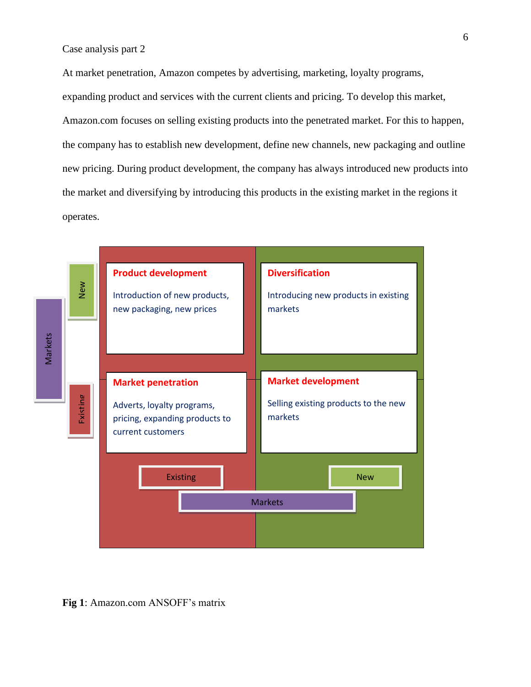At market penetration, Amazon competes by advertising, marketing, loyalty programs, expanding product and services with the current clients and pricing. To develop this market, Amazon.com focuses on selling existing products into the penetrated market. For this to happen, the company has to establish new development, define new channels, new packaging and outline new pricing. During product development, the company has always introduced new products into the market and diversifying by introducing this products in the existing market in the regions it operates.



**Fig 1**: Amazon.com ANSOFF's matrix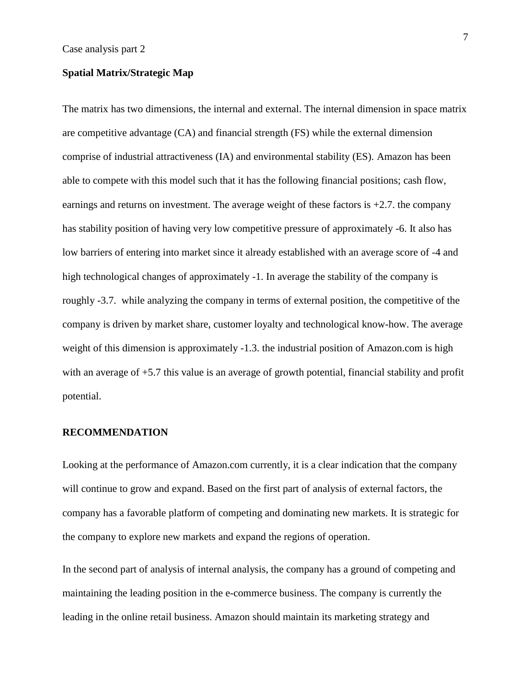## **Spatial Matrix/Strategic Map**

The matrix has two dimensions, the internal and external. The internal dimension in space matrix are competitive advantage (CA) and financial strength (FS) while the external dimension comprise of industrial attractiveness (IA) and environmental stability (ES). Amazon has been able to compete with this model such that it has the following financial positions; cash flow, earnings and returns on investment. The average weight of these factors is  $+2.7$ . the company has stability position of having very low competitive pressure of approximately -6. It also has low barriers of entering into market since it already established with an average score of -4 and high technological changes of approximately -1. In average the stability of the company is roughly -3.7. while analyzing the company in terms of external position, the competitive of the company is driven by market share, customer loyalty and technological know-how. The average weight of this dimension is approximately -1.3. the industrial position of Amazon.com is high with an average of  $+5.7$  this value is an average of growth potential, financial stability and profit potential.

#### **RECOMMENDATION**

Looking at the performance of Amazon.com currently, it is a clear indication that the company will continue to grow and expand. Based on the first part of analysis of external factors, the company has a favorable platform of competing and dominating new markets. It is strategic for the company to explore new markets and expand the regions of operation.

In the second part of analysis of internal analysis, the company has a ground of competing and maintaining the leading position in the e-commerce business. The company is currently the leading in the online retail business. Amazon should maintain its marketing strategy and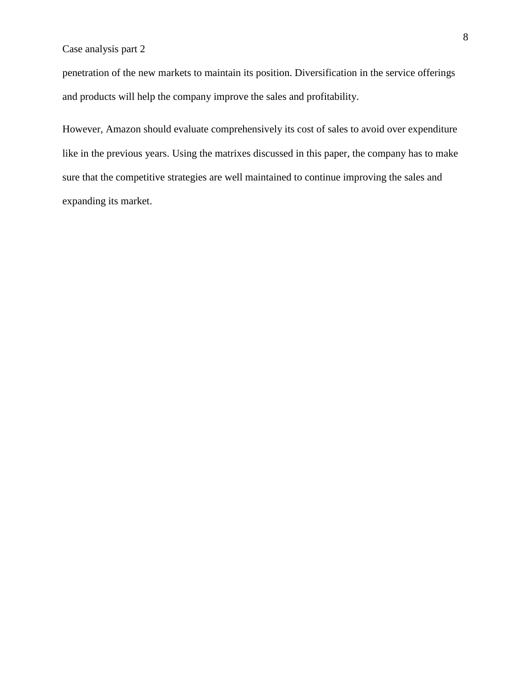# Case analysis part 2

penetration of the new markets to maintain its position. Diversification in the service offerings and products will help the company improve the sales and profitability.

However, Amazon should evaluate comprehensively its cost of sales to avoid over expenditure like in the previous years. Using the matrixes discussed in this paper, the company has to make sure that the competitive strategies are well maintained to continue improving the sales and expanding its market.